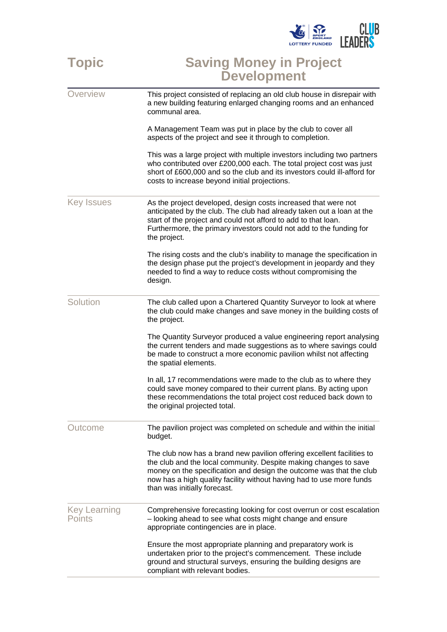

## **Topic Saving Money in Project Development**

| Overview                      | This project consisted of replacing an old club house in disrepair with<br>a new building featuring enlarged changing rooms and an enhanced<br>communal area.                                                                                                                                                             |
|-------------------------------|---------------------------------------------------------------------------------------------------------------------------------------------------------------------------------------------------------------------------------------------------------------------------------------------------------------------------|
|                               | A Management Team was put in place by the club to cover all<br>aspects of the project and see it through to completion.                                                                                                                                                                                                   |
|                               | This was a large project with multiple investors including two partners<br>who contributed over £200,000 each. The total project cost was just<br>short of £600,000 and so the club and its investors could ill-afford for<br>costs to increase beyond initial projections.                                               |
| <b>Key Issues</b>             | As the project developed, design costs increased that were not<br>anticipated by the club. The club had already taken out a loan at the<br>start of the project and could not afford to add to that loan.<br>Furthermore, the primary investors could not add to the funding for<br>the project.                          |
|                               | The rising costs and the club's inability to manage the specification in<br>the design phase put the project's development in jeopardy and they<br>needed to find a way to reduce costs without compromising the<br>design.                                                                                               |
| Solution                      | The club called upon a Chartered Quantity Surveyor to look at where<br>the club could make changes and save money in the building costs of<br>the project.                                                                                                                                                                |
|                               | The Quantity Surveyor produced a value engineering report analysing<br>the current tenders and made suggestions as to where savings could<br>be made to construct a more economic pavilion whilst not affecting<br>the spatial elements.                                                                                  |
|                               | In all, 17 recommendations were made to the club as to where they<br>could save money compared to their current plans. By acting upon<br>these recommendations the total project cost reduced back down to<br>the original projected total.                                                                               |
| <b>Outcome</b>                | The pavilion project was completed on schedule and within the initial<br>budget.                                                                                                                                                                                                                                          |
|                               | The club now has a brand new pavilion offering excellent facilities to<br>the club and the local community. Despite making changes to save<br>money on the specification and design the outcome was that the club<br>now has a high quality facility without having had to use more funds<br>than was initially forecast. |
| <b>Key Learning</b><br>Points | Comprehensive forecasting looking for cost overrun or cost escalation<br>- looking ahead to see what costs might change and ensure<br>appropriate contingencies are in place.                                                                                                                                             |
|                               | Ensure the most appropriate planning and preparatory work is<br>undertaken prior to the project's commencement. These include<br>ground and structural surveys, ensuring the building designs are<br>compliant with relevant bodies.                                                                                      |